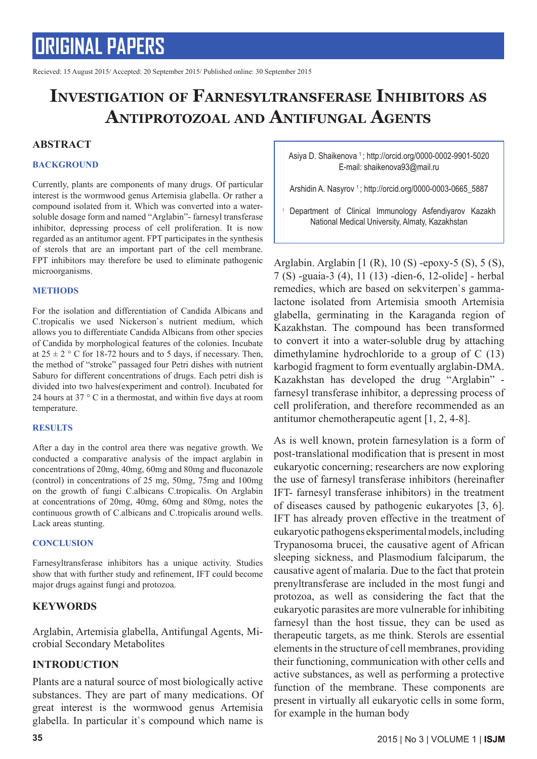Recieved: 15 August 2015/ Accepted: 20 September 2015/ Published online: 30 September 2015

# **Investigation of Farnesyltransferase Inhibitors as Antiprotozoal and Antifungal Agents**

### **ABSTRACT**

#### **BACKGROUND**

Currently, plants are components of many drugs. Of particular interest is the wormwood genus Artemisia glabella. Or rather a compound isolated from it. Which was converted into a watersoluble dosage form and named "Arglabin"- farnesyl transferase inhibitor, depressing process of cell proliferation. It is now regarded as an antitumor agent. FPT participates in the synthesis of sterols that are an important part of the cell membrane. FPT inhibitors may therefore be used to eliminate pathogenic microorganisms.

#### **METHODS**

For the isolation and differentiation of Candida Albicans and C.tropicalis we used Nickerson`s nutrient medium, which allows you to differentiate Candida Albicans from other species of Candida by morphological features of the colonies. Incubate at  $25 \pm 2$  ° C for 18-72 hours and to 5 days, if necessary. Then, the method of "stroke" passaged four Petri dishes with nutrient Saburo for different concentrations of drugs. Each petri dish is divided into two halves(experiment and control). Incubated for 24 hours at 37 ° C in a thermostat, and within five days at room temperature.

#### **RESULTS**

After a day in the control area there was negative growth. We conducted a comparative analysis of the impact arglabin in concentrations of 20mg, 40mg, 60mg and 80mg and fluconazole (control) in concentrations of 25 mg, 50mg, 75mg and 100mg on the growth of fungi C.albicans C.tropicalis. On Arglabin at concentrations of 20mg, 40mg, 60mg and 80mg, notes the continuous growth of C.albicans and C.tropicalis around wells. Lack areas stunting.

#### **CONCLUSION**

Farnesyltransferase inhibitors has a unique activity. Studies show that with further study and refinement, IFT could become major drugs against fungi and protozoa.

## **KEYWORDS**

Arglabin, Artemisia glabella, Antifungal Agents, Microbial Secondary Metabolites

## **INTRODUCTION**

Plants are a natural source of most biologically active substances. They are part of many medications. Of great interest is the wormwood genus Artemisia glabella. In particular it`s compound which name is

Asiya D. Shaikenova 1 ; http://orcid.org/0000-0002-9901-5020 E-mail: shaikenova93@mail.ru

Arshidin A. Nasyrov 1 ; http://orcid.org/0000-0003-0665\_5887

Department of Clinical Immunology Asfendiyarov Kazakh National Medical University, Almaty, Kazakhstan

Arglabin. Arglabin [1 (R), 10 (S) -epoxy-5 (S), 5 (S), 7 (S) -guaia-3 (4), 11 (13) -dien-6, 12-olide] - herbal remedies, which are based on sekviterpen`s gammalactone isolated from Artemisia smooth Artemisia glabella, germinating in the Karaganda region of Kazakhstan. The compound has been transformed to convert it into a water-soluble drug by attaching dimethylamine hydrochloride to a group of C (13) karbogid fragment to form eventually arglabin-DMA. Kazakhstan has developed the drug "Arglabin" farnesyl transferase inhibitor, a depressing process of cell proliferation, and therefore recommended as an antitumor chemotherapeutic agent [1, 2, 4-8].

As is well known, protein farnesylation is a form of post-translational modification that is present in most eukaryotic concerning; researchers are now exploring the use of farnesyl transferase inhibitors (hereinafter IFT- farnesyl transferase inhibitors) in the treatment of diseases caused by pathogenic eukaryotes [3, 6]. IFT has already proven effective in the treatment of eukaryotic pathogens eksperimental models, including Trypanosoma brucei, the causative agent of African sleeping sickness, and Plasmodium falciparum, the causative agent of malaria. Due to the fact that protein prenyltransferase are included in the most fungi and protozoa, as well as considering the fact that the eukaryotic parasites are more vulnerable for inhibiting farnesyl than the host tissue, they can be used as therapeutic targets, as me think. Sterols are essential elements in the structure of cell membranes, providing their functioning, communication with other cells and active substances, as well as performing a protective function of the membrane. These components are present in virtually all eukaryotic cells in some form, for example in the human body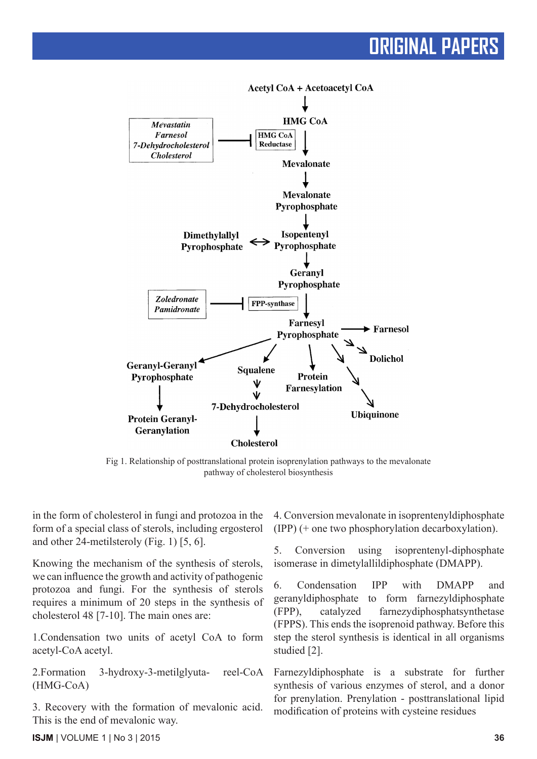

Fig 1. Relationship of posttranslational protein isoprenylation pathways to the mevalonate pathway of cholesterol biosynthesis

in the form of cholesterol in fungi and protozoa in the form of a special class of sterols, including ergosterol and other 24-metilsteroly (Fig. 1) [5, 6].

Knowing the mechanism of the synthesis of sterols, we can influence the growth and activity of pathogenic protozoa and fungi. For the synthesis of sterols requires a minimum of 20 steps in the synthesis of cholesterol 48 [7-10]. The main ones are:

1.Condensation two units of acetyl CoA to form acetyl-CoA acetyl.

2.Formation 3-hydroxy-3-metilglyuta- reel-CoA (HMG-CoA)

3. Recovery with the formation of mevalonic acid. This is the end of mevalonic way.

4. Conversion mevalonate in isoprentenyldiphosphate (IPP) (+ one two phosphorylation decarboxylation).

5. Conversion using isoprentenyl-diphosphate isomerase in dimetylallildiphosphate (DMAPP).

6. Condensation IPP with DMAPP and geranyldiphosphate to form farnezyldiphosphate (FPP), catalyzed farnezydiphosphatsynthetase (FPPS). This ends the isoprenoid pathway. Before this step the sterol synthesis is identical in all organisms studied [2].

Farnezyldiphosphate is a substrate for further synthesis of various enzymes of sterol, and a donor for prenylation. Prenylation - posttranslational lipid modification of proteins with cysteine residues

#### **ISJM** | VOLUME 1 | No 3 | 2015 **36**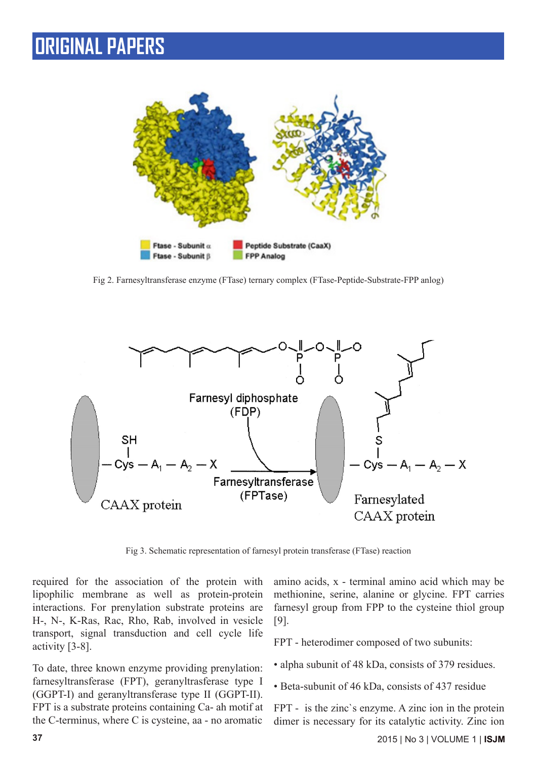

Fig 2. Farnesyltransferase enzyme (FTase) ternary complex (FTase-Peptide-Substrate-FPP anlog)



Fig 3. Schematic representation of farnesyl protein transferase (FTase) reaction

required for the association of the protein with lipophilic membrane as well as protein-protein interactions. For prenylation substrate proteins are H-, N-, K-Ras, Rac, Rho, Rab, involved in vesicle transport, signal transduction and cell cycle life activity [3-8].

To date, three known enzyme providing prenylation: farnesyltransferase (FPT), geranyltrasferase type I (GGPT-I) and geranyltransferase type II (GGPT-II). FPT is a substrate proteins containing Ca- ah motif at the C-terminus, where C is cysteine, aa - no aromatic

amino acids, x - terminal amino acid which may be methionine, serine, alanine or glycine. FPT carries farnesyl group from FPP to the cysteine thiol group [9].

FPT - heterodimer composed of two subunits:

- alpha subunit of 48 kDa, consists of 379 residues.
- Beta-subunit of 46 kDa, consists of 437 residue

FPT - is the zinc's enzyme. A zinc ion in the protein dimer is necessary for its catalytic activity. Zinc ion

**37** 2015 | No 3 | VOLUME 1 | **ISJM**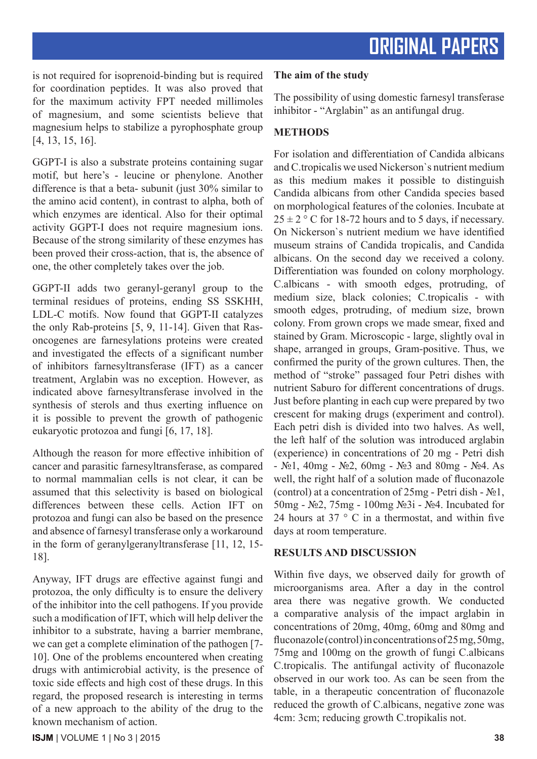is not required for isoprenoid-binding but is required for coordination peptides. It was also proved that for the maximum activity FPT needed millimoles of magnesium, and some scientists believe that magnesium helps to stabilize a pyrophosphate group [4, 13, 15, 16].

GGPT-I is also a substrate proteins containing sugar motif, but here's - leucine or phenylone. Another difference is that a beta- subunit (just 30% similar to the amino acid content), in contrast to alpha, both of which enzymes are identical. Also for their optimal activity GGPT-I does not require magnesium ions. Because of the strong similarity of these enzymes has been proved their cross-action, that is, the absence of one, the other completely takes over the job.

GGPT-II adds two geranyl-geranyl group to the terminal residues of proteins, ending SS SSKHH, LDL-C motifs. Now found that GGPT-II catalyzes the only Rab-proteins [5, 9, 11-14]. Given that Rasoncogenes are farnesylations proteins were created and investigated the effects of a significant number of inhibitors farnesyltransferase (IFT) as a cancer treatment, Arglabin was no exception. However, as indicated above farnesyltransferase involved in the synthesis of sterols and thus exerting influence on it is possible to prevent the growth of pathogenic eukaryotic protozoa and fungi [6, 17, 18].

Although the reason for more effective inhibition of cancer and parasitic farnesyltransferase, as compared to normal mammalian cells is not clear, it can be assumed that this selectivity is based on biological differences between these cells. Action IFT on protozoa and fungi can also be based on the presence and absence of farnesyl transferase only a workaround in the form of geranylgeranyltransferase [11, 12, 15- 18].

Anyway, IFT drugs are effective against fungi and protozoa, the only difficulty is to ensure the delivery of the inhibitor into the cell pathogens. If you provide such a modification of IFT, which will help deliver the inhibitor to a substrate, having a barrier membrane, we can get a complete elimination of the pathogen [7- 10]. One of the problems encountered when creating drugs with antimicrobial activity, is the presence of toxic side effects and high cost of these drugs. In this regard, the proposed research is interesting in terms of a new approach to the ability of the drug to the known mechanism of action.

### **The aim of the study**

The possibility of using domestic farnesyl transferase inhibitor - "Arglabin" as an antifungal drug.

## **METHODS**

For isolation and differentiation of Candida albicans and C.tropicalis we used Nickerson`s nutrient medium as this medium makes it possible to distinguish Candida albicans from other Candida species based on morphological features of the colonies. Incubate at  $25 \pm 2$  ° C for 18-72 hours and to 5 days, if necessary. On Nickerson`s nutrient medium we have identified museum strains of Candida tropicalis, and Candida albicans. On the second day we received a colony. Differentiation was founded on colony morphology. C.albicans - with smooth edges, protruding, of medium size, black colonies; C.tropicalis - with smooth edges, protruding, of medium size, brown colony. From grown crops we made smear, fixed and stained by Gram. Microscopic - large, slightly oval in shape, arranged in groups, Gram-positive. Thus, we confirmed the purity of the grown cultures. Then, the method of "stroke" passaged four Petri dishes with nutrient Saburo for different concentrations of drugs. Just before planting in each cup were prepared by two crescent for making drugs (experiment and control). Each petri dish is divided into two halves. As well, the left half of the solution was introduced arglabin (experience) in concentrations of 20 mg - Petri dish - №1, 40mg - №2, 60mg - №3 and 80mg - №4. As well, the right half of a solution made of fluconazole (control) at a concentration of  $25mg$  - Petri dish -  $N<sub>2</sub>1$ , 50mg - №2, 75mg - 100mg №3i - №4. Incubated for 24 hours at  $37 \degree$  C in a thermostat, and within five days at room temperature.

#### **RESULTS AND DISCUSSION**

Within five days, we observed daily for growth of microorganisms area. After a day in the control area there was negative growth. We conducted a comparative analysis of the impact arglabin in concentrations of 20mg, 40mg, 60mg and 80mg and fluconazole (control) in concentrations of 25 mg, 50mg, 75mg and 100mg on the growth of fungi C.albicans C.tropicalis. The antifungal activity of fluconazole observed in our work too. As can be seen from the table, in a therapeutic concentration of fluconazole reduced the growth of C.albicans, negative zone was 4cm: 3cm; reducing growth C.tropikalis not.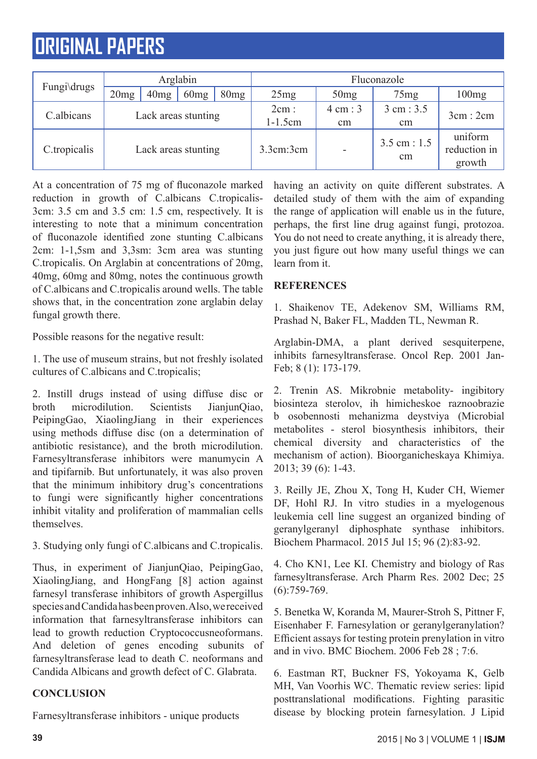| Fungi\drugs  | Arglabin            |      |      |      | Fluconazole       |                          |                              |                                   |
|--------------|---------------------|------|------|------|-------------------|--------------------------|------------------------------|-----------------------------------|
|              | 20mg                | 40mg | 60mg | 80mg | 25mg              | 50mg                     | 75mg                         | 100mg                             |
| C.albicans   | Lack areas stunting |      |      |      | 2cm:<br>$1-1.5cm$ | $4 \text{ cm} : 3$<br>cm | $3 \text{ cm} : 3.5$<br>cm   | 3cm:2cm                           |
| C.tropicalis | Lack areas stunting |      |      |      | 3.3cm:3cm         | -                        | $3.5 \text{ cm} : 1.5$<br>cm | uniform<br>reduction in<br>growth |

At a concentration of 75 mg of fluconazole marked reduction in growth of C.albicans C.tropicalis-3cm: 3.5 cm and 3.5 cm: 1.5 cm, respectively. It is interesting to note that a minimum concentration of fluconazole identified zone stunting C.albicans 2cm: 1-1,5sm and 3,3sm: 3cm area was stunting C.tropicalis. On Arglabin at concentrations of 20mg, 40mg, 60mg and 80mg, notes the continuous growth of C.albicans and C.tropicalis around wells. The table shows that, in the concentration zone arglabin delay fungal growth there.

Possible reasons for the negative result:

1. The use of museum strains, but not freshly isolated cultures of C.albicans and C.tropicalis;

2. Instill drugs instead of using diffuse disc or broth microdilution. Scientists JianjunQiao, PeipingGao, XiaolingJiang in their experiences using methods diffuse disc (on a determination of antibiotic resistance), and the broth microdilution. Farnesyltransferase inhibitors were manumycin A and tipifarnib. But unfortunately, it was also proven that the minimum inhibitory drug's concentrations to fungi were significantly higher concentrations inhibit vitality and proliferation of mammalian cells themselves.

3. Studying only fungi of C.albicans and C.tropicalis.

Thus, in experiment of JianjunQiao, PeipingGao, XiaolingJiang, and HongFang [8] action against farnesyl transferase inhibitors of growth Aspergillus species and Candida has been proven. Also, we received information that farnesyltransferase inhibitors can lead to growth reduction Cryptococcusneoformans. And deletion of genes encoding subunits of farnesyltransferase lead to death C. neoformans and Candida Albicans and growth defect of C. Glabrata.

# **CONCLUSION**

Farnesyltransferase inhibitors - unique products

having an activity on quite different substrates. A detailed study of them with the aim of expanding the range of application will enable us in the future, perhaps, the first line drug against fungi, protozoa. You do not need to create anything, it is already there, you just figure out how many useful things we can learn from it.

# **REFERENCES**

1. Shaikenov TE, Adekenov SM, Williams RM, Prashad N, Baker FL, Madden TL, Newman R.

Arglabin-DMA, a plant derived sesquiterpene, inhibits farnesyltransferase. Oncol Rep. 2001 Jan-Feb; 8 (1): 173-179.

2. Trenin AS. Mikrobnie metabolity- ingibitory biosinteza sterolov, ih himicheskoe raznoobrazie b osobennosti mehanizma deystviya (Microbial metabolites - sterol biosynthesis inhibitors, their chemical diversity and characteristics of the mechanism of action). Bioorganicheskaya Khimiya. 2013; 39 (6): 1-43.

3. Reilly JE, Zhou X, Tong H, Kuder CH, Wiemer DF, Hohl RJ. In vitro studies in a myelogenous leukemia cell line suggest an organized binding of geranylgeranyl diphosphate synthase inhibitors. Biochem Pharmacol. 2015 Jul 15; 96 (2):83-92.

4. Cho KN1, Lee KI. Chemistry and biology of Ras farnesyltransferase. Arch Pharm Res. 2002 Dec; 25 (6):759-769.

5. Benetka W, Koranda M, Maurer-Stroh S, Pittner F, Eisenhaber F. Farnesylation or geranylgeranylation? Efficient assays for testing protein prenylation in vitro and in vivo. BMC Biochem. 2006 Feb 28 ; 7:6.

6. Eastman RT, Buckner FS, Yokoyama K, Gelb MH, Van Voorhis WC. Thematic review series: lipid posttranslational modifications. Fighting parasitic disease by blocking protein farnesylation. J Lipid